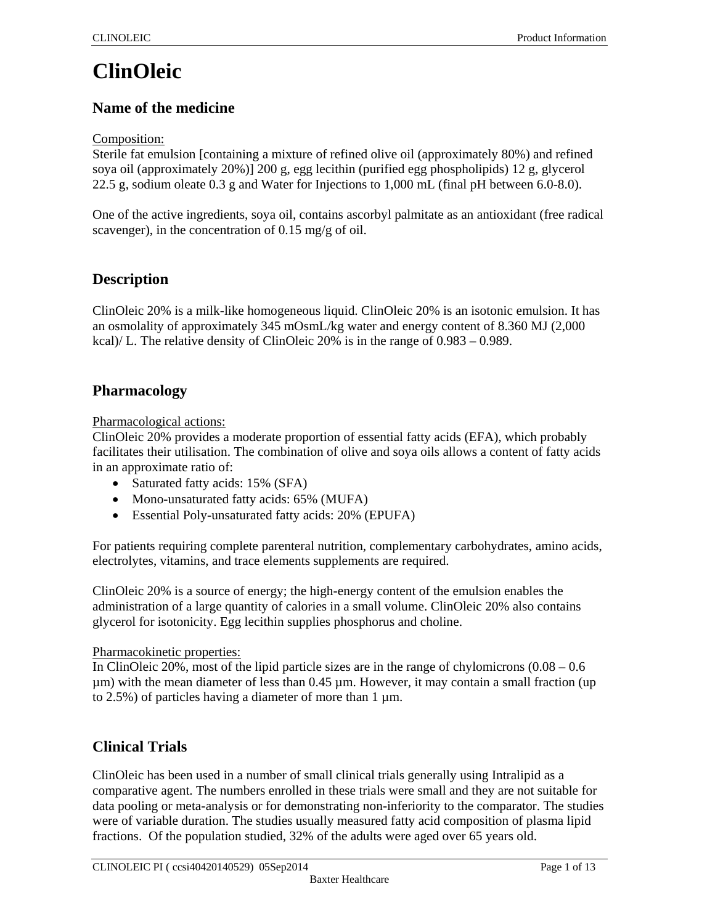# **ClinOleic**

# **Name of the medicine**

Composition:

Sterile fat emulsion [containing a mixture of refined olive oil (approximately 80%) and refined soya oil (approximately 20%)] 200 g, egg lecithin (purified egg phospholipids) 12 g, glycerol 22.5 g, sodium oleate 0.3 g and Water for Injections to 1,000 mL (final pH between 6.0-8.0).

One of the active ingredients, soya oil, contains ascorbyl palmitate as an antioxidant (free radical scavenger), in the concentration of 0.15 mg/g of oil.

# **Description**

ClinOleic 20% is a milk-like homogeneous liquid. ClinOleic 20% is an isotonic emulsion. It has an osmolality of approximately 345 mOsmL/kg water and energy content of 8.360 MJ (2,000 kcal)/ L. The relative density of ClinOleic 20% is in the range of  $0.983 - 0.989$ .

# **Pharmacology**

Pharmacological actions:

ClinOleic 20% provides a moderate proportion of essential fatty acids (EFA), which probably facilitates their utilisation. The combination of olive and soya oils allows a content of fatty acids in an approximate ratio of:

- Saturated fatty acids: 15% (SFA)
- Mono-unsaturated fatty acids: 65% (MUFA)
- Essential Poly-unsaturated fatty acids: 20% (EPUFA)

For patients requiring complete parenteral nutrition, complementary carbohydrates, amino acids, electrolytes, vitamins, and trace elements supplements are required.

ClinOleic 20% is a source of energy; the high-energy content of the emulsion enables the administration of a large quantity of calories in a small volume. ClinOleic 20% also contains glycerol for isotonicity. Egg lecithin supplies phosphorus and choline.

#### Pharmacokinetic properties:

In ClinOleic 20%, most of the lipid particle sizes are in the range of chylomicrons (0.08 – 0.6  $\mu$ m) with the mean diameter of less than 0.45  $\mu$ m. However, it may contain a small fraction (up to 2.5%) of particles having a diameter of more than 1 µm.

# **Clinical Trials**

ClinOleic has been used in a number of small clinical trials generally using Intralipid as a comparative agent. The numbers enrolled in these trials were small and they are not suitable for data pooling or meta-analysis or for demonstrating non-inferiority to the comparator. The studies were of variable duration. The studies usually measured fatty acid composition of plasma lipid fractions. Of the population studied, 32% of the adults were aged over 65 years old.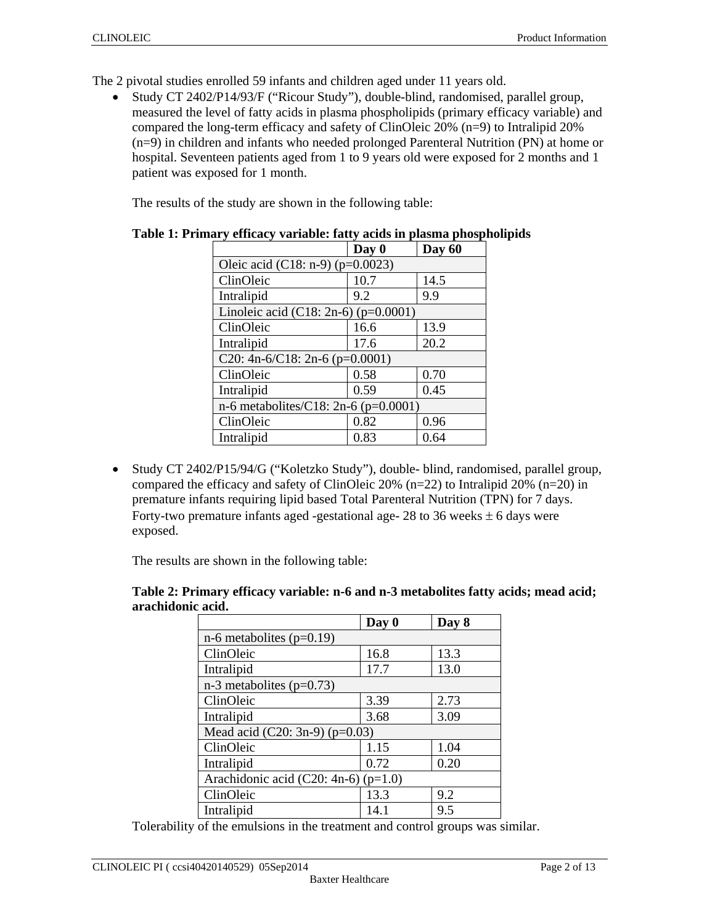The 2 pivotal studies enrolled 59 infants and children aged under 11 years old.

 Study CT 2402/P14/93/F ("Ricour Study"), double-blind, randomised, parallel group, measured the level of fatty acids in plasma phospholipids (primary efficacy variable) and compared the long-term efficacy and safety of ClinOleic 20% (n=9) to Intralipid 20% (n=9) in children and infants who needed prolonged Parenteral Nutrition (PN) at home or hospital. Seventeen patients aged from 1 to 9 years old were exposed for 2 months and 1 patient was exposed for 1 month.

The results of the study are shown in the following table:

| Day 0                                    | Day 60 |  |  |
|------------------------------------------|--------|--|--|
| Oleic acid (C18: n-9) ( $p=0.0023$ )     |        |  |  |
| 10.7                                     | 14.5   |  |  |
| 9.2                                      | 9.9    |  |  |
| Linoleic acid (C18: 2n-6) ( $p=0.0001$ ) |        |  |  |
| 16.6                                     | 13.9   |  |  |
| 17.6                                     | 20.2   |  |  |
| C20: 4n-6/C18: 2n-6 (p=0.0001)           |        |  |  |
| 0.58                                     | 0.70   |  |  |
| 0.59                                     | 0.45   |  |  |
| n-6 metabolites/C18: 2n-6 (p=0.0001)     |        |  |  |
| 0.82                                     | 0.96   |  |  |
| 0.83                                     | 0.64   |  |  |
|                                          |        |  |  |

|  |  |  | Table 1: Primary efficacy variable: fatty acids in plasma phospholipids |  |
|--|--|--|-------------------------------------------------------------------------|--|
|  |  |  |                                                                         |  |

• Study CT 2402/P15/94/G ("Koletzko Study"), double- blind, randomised, parallel group, compared the efficacy and safety of ClinOleic 20%  $(n=22)$  to Intralipid 20%  $(n=20)$  in premature infants requiring lipid based Total Parenteral Nutrition (TPN) for 7 days. Forty-two premature infants aged -gestational age-  $28$  to 36 weeks  $\pm$  6 days were exposed.

The results are shown in the following table:

|                   | Table 2: Primary efficacy variable: n-6 and n-3 metabolites fatty acids; mead acid; |  |
|-------------------|-------------------------------------------------------------------------------------|--|
| arachidonic acid. |                                                                                     |  |

|                                          | Day 0 | Day 8 |  |  |
|------------------------------------------|-------|-------|--|--|
| $n-6$ metabolites ( $p=0.19$ )           |       |       |  |  |
| ClinOleic                                | 16.8  | 13.3  |  |  |
| Intralipid                               | 17.7  | 13.0  |  |  |
| $n-3$ metabolites ( $p=0.73$ )           |       |       |  |  |
| ClinOleic                                | 3.39  | 2.73  |  |  |
| Intralipid                               | 3.68  | 3.09  |  |  |
| Mead acid (C20: 3n-9) ( $p=0.03$ )       |       |       |  |  |
| ClinOleic                                | 1.15  | 1.04  |  |  |
| Intralipid                               | 0.72  | 0.20  |  |  |
| Arachidonic acid (C20: 4n-6) ( $p=1.0$ ) |       |       |  |  |
| ClinOleic                                | 13.3  | 9.2   |  |  |
| Intralipid                               | 14.1  | 9.5   |  |  |

Tolerability of the emulsions in the treatment and control groups was similar.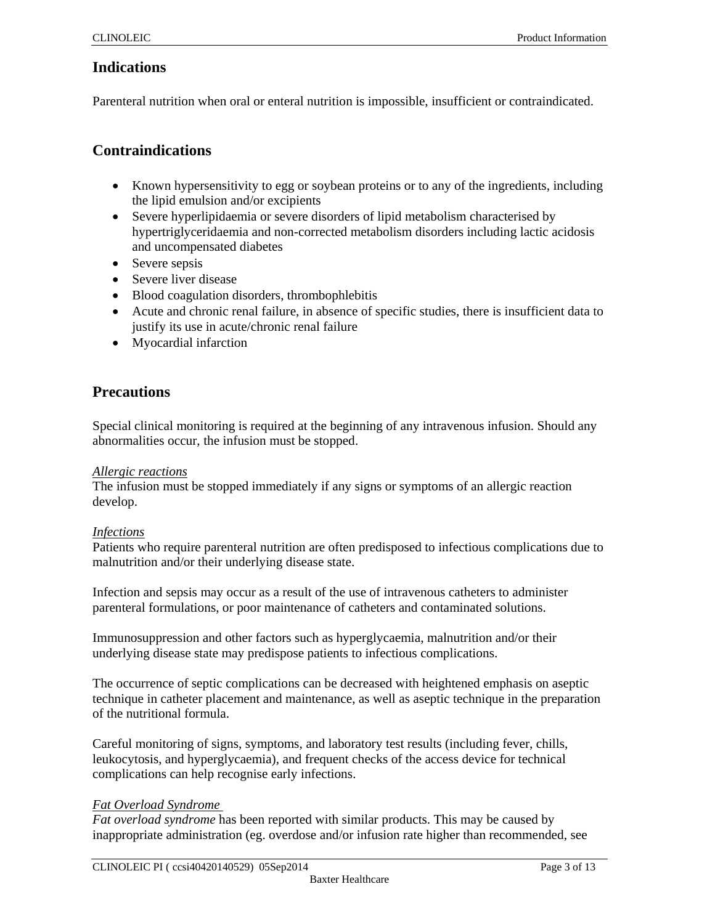# **Indications**

Parenteral nutrition when oral or enteral nutrition is impossible, insufficient or contraindicated.

### **Contraindications**

- Known hypersensitivity to egg or soybean proteins or to any of the ingredients, including the lipid emulsion and/or excipients
- Severe hyperlipidaemia or severe disorders of lipid metabolism characterised by hypertriglyceridaemia and non-corrected metabolism disorders including lactic acidosis and uncompensated diabetes
- Severe sepsis
- Severe liver disease
- Blood coagulation disorders, thrombophlebitis
- Acute and chronic renal failure, in absence of specific studies, there is insufficient data to justify its use in acute/chronic renal failure
- Myocardial infarction

# **Precautions**

Special clinical monitoring is required at the beginning of any intravenous infusion. Should any abnormalities occur, the infusion must be stopped.

#### *Allergic reactions*

The infusion must be stopped immediately if any signs or symptoms of an allergic reaction develop.

#### *Infections*

Patients who require parenteral nutrition are often predisposed to infectious complications due to malnutrition and/or their underlying disease state.

Infection and sepsis may occur as a result of the use of intravenous catheters to administer parenteral formulations, or poor maintenance of catheters and contaminated solutions.

Immunosuppression and other factors such as hyperglycaemia, malnutrition and/or their underlying disease state may predispose patients to infectious complications.

The occurrence of septic complications can be decreased with heightened emphasis on aseptic technique in catheter placement and maintenance, as well as aseptic technique in the preparation of the nutritional formula.

Careful monitoring of signs, symptoms, and laboratory test results (including fever, chills, leukocytosis, and hyperglycaemia), and frequent checks of the access device for technical complications can help recognise early infections.

#### *Fat Overload Syndrome*

*Fat overload syndrome* has been reported with similar products. This may be caused by inappropriate administration (eg. overdose and/or infusion rate higher than recommended, see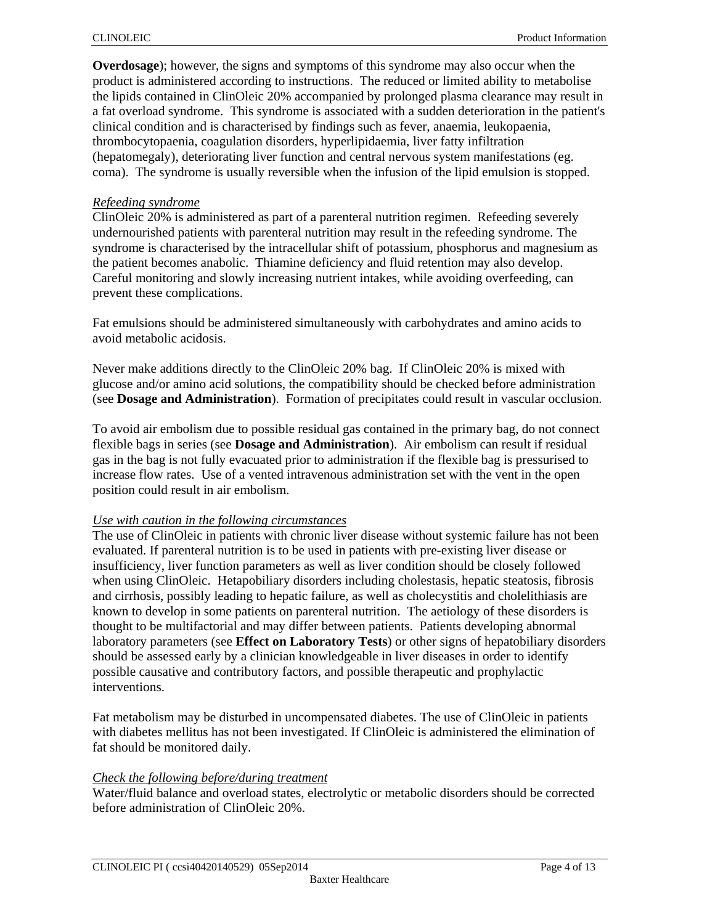**Overdosage**); however, the signs and symptoms of this syndrome may also occur when the product is administered according to instructions. The reduced or limited ability to metabolise the lipids contained in ClinOleic 20% accompanied by prolonged plasma clearance may result in a fat overload syndrome. This syndrome is associated with a sudden deterioration in the patient's clinical condition and is characterised by findings such as fever, anaemia, leukopaenia, thrombocytopaenia, coagulation disorders, hyperlipidaemia, liver fatty infiltration (hepatomegaly), deteriorating liver function and central nervous system manifestations (eg. coma). The syndrome is usually reversible when the infusion of the lipid emulsion is stopped.

#### *Refeeding syndrome*

ClinOleic 20% is administered as part of a parenteral nutrition regimen. Refeeding severely undernourished patients with parenteral nutrition may result in the refeeding syndrome. The syndrome is characterised by the intracellular shift of potassium, phosphorus and magnesium as the patient becomes anabolic. Thiamine deficiency and fluid retention may also develop. Careful monitoring and slowly increasing nutrient intakes, while avoiding overfeeding, can prevent these complications.

Fat emulsions should be administered simultaneously with carbohydrates and amino acids to avoid metabolic acidosis.

Never make additions directly to the ClinOleic 20% bag. If ClinOleic 20% is mixed with glucose and/or amino acid solutions, the compatibility should be checked before administration (see **Dosage and Administration**). Formation of precipitates could result in vascular occlusion.

To avoid air embolism due to possible residual gas contained in the primary bag, do not connect flexible bags in series (see **Dosage and Administration**). Air embolism can result if residual gas in the bag is not fully evacuated prior to administration if the flexible bag is pressurised to increase flow rates. Use of a vented intravenous administration set with the vent in the open position could result in air embolism.

#### *Use with caution in the following circumstances*

The use of ClinOleic in patients with chronic liver disease without systemic failure has not been evaluated. If parenteral nutrition is to be used in patients with pre-existing liver disease or insufficiency, liver function parameters as well as liver condition should be closely followed when using ClinOleic. Hetapobiliary disorders including cholestasis, hepatic steatosis, fibrosis and cirrhosis, possibly leading to hepatic failure, as well as cholecystitis and cholelithiasis are known to develop in some patients on parenteral nutrition. The aetiology of these disorders is thought to be multifactorial and may differ between patients. Patients developing abnormal laboratory parameters (see **Effect on Laboratory Tests**) or other signs of hepatobiliary disorders should be assessed early by a clinician knowledgeable in liver diseases in order to identify possible causative and contributory factors, and possible therapeutic and prophylactic interventions.

Fat metabolism may be disturbed in uncompensated diabetes. The use of ClinOleic in patients with diabetes mellitus has not been investigated. If ClinOleic is administered the elimination of fat should be monitored daily.

#### *Check the following before/during treatment*

Water/fluid balance and overload states, electrolytic or metabolic disorders should be corrected before administration of ClinOleic 20%.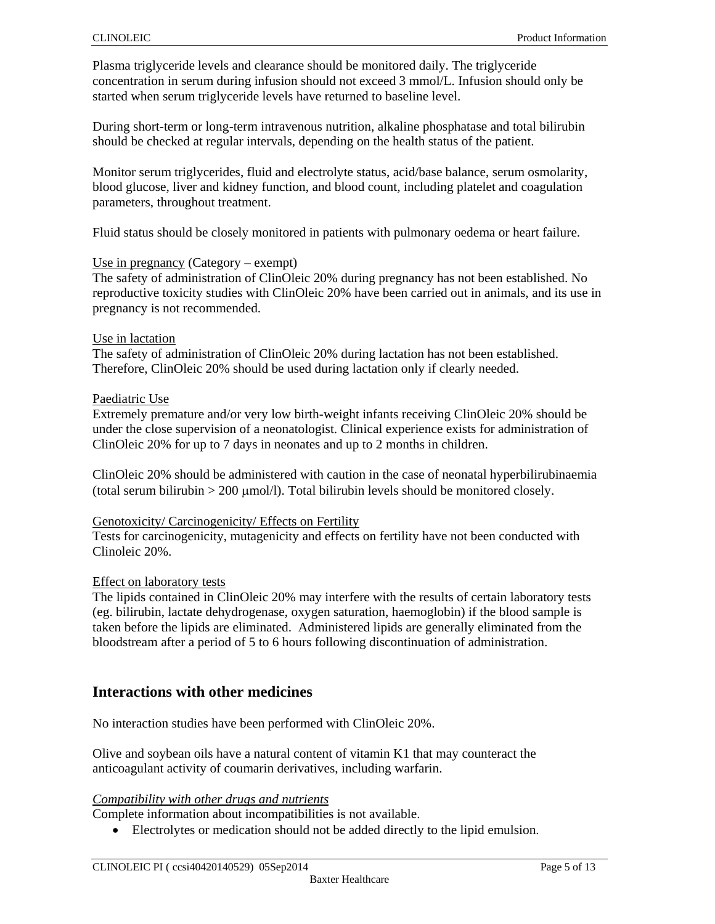Plasma triglyceride levels and clearance should be monitored daily. The triglyceride concentration in serum during infusion should not exceed 3 mmol/L. Infusion should only be started when serum triglyceride levels have returned to baseline level.

During short-term or long-term intravenous nutrition, alkaline phosphatase and total bilirubin should be checked at regular intervals, depending on the health status of the patient.

Monitor serum triglycerides, fluid and electrolyte status, acid/base balance, serum osmolarity, blood glucose, liver and kidney function, and blood count, including platelet and coagulation parameters, throughout treatment.

Fluid status should be closely monitored in patients with pulmonary oedema or heart failure.

#### Use in pregnancy (Category – exempt)

The safety of administration of ClinOleic 20% during pregnancy has not been established. No reproductive toxicity studies with ClinOleic 20% have been carried out in animals, and its use in pregnancy is not recommended.

#### Use in lactation

The safety of administration of ClinOleic 20% during lactation has not been established. Therefore, ClinOleic 20% should be used during lactation only if clearly needed.

#### Paediatric Use

Extremely premature and/or very low birth-weight infants receiving ClinOleic 20% should be under the close supervision of a neonatologist. Clinical experience exists for administration of ClinOleic 20% for up to 7 days in neonates and up to 2 months in children.

ClinOleic 20% should be administered with caution in the case of neonatal hyperbilirubinaemia  $(total serum bilirubin > 200 \mu mol/l)$ . Total bilirubin levels should be monitored closely.

#### Genotoxicity/ Carcinogenicity/ Effects on Fertility

Tests for carcinogenicity, mutagenicity and effects on fertility have not been conducted with Clinoleic 20%.

#### Effect on laboratory tests

The lipids contained in ClinOleic 20% may interfere with the results of certain laboratory tests (eg. bilirubin, lactate dehydrogenase, oxygen saturation, haemoglobin) if the blood sample is taken before the lipids are eliminated. Administered lipids are generally eliminated from the bloodstream after a period of 5 to 6 hours following discontinuation of administration.

### **Interactions with other medicines**

No interaction studies have been performed with ClinOleic 20%.

Olive and soybean oils have a natural content of vitamin K1 that may counteract the anticoagulant activity of coumarin derivatives, including warfarin.

#### *Compatibility with other drugs and nutrients*

Complete information about incompatibilities is not available.

Electrolytes or medication should not be added directly to the lipid emulsion.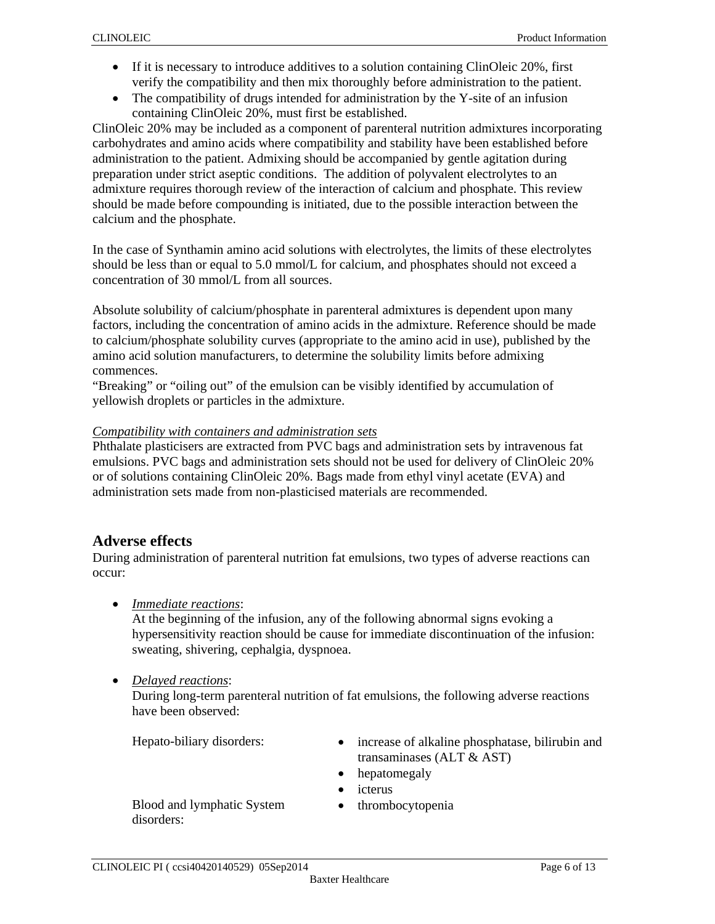- If it is necessary to introduce additives to a solution containing ClinOleic 20%, first verify the compatibility and then mix thoroughly before administration to the patient.
- The compatibility of drugs intended for administration by the Y-site of an infusion containing ClinOleic 20%, must first be established.

ClinOleic 20% may be included as a component of parenteral nutrition admixtures incorporating carbohydrates and amino acids where compatibility and stability have been established before administration to the patient. Admixing should be accompanied by gentle agitation during preparation under strict aseptic conditions. The addition of polyvalent electrolytes to an admixture requires thorough review of the interaction of calcium and phosphate. This review should be made before compounding is initiated, due to the possible interaction between the calcium and the phosphate.

In the case of Synthamin amino acid solutions with electrolytes, the limits of these electrolytes should be less than or equal to 5.0 mmol/L for calcium, and phosphates should not exceed a concentration of 30 mmol/L from all sources.

Absolute solubility of calcium/phosphate in parenteral admixtures is dependent upon many factors, including the concentration of amino acids in the admixture. Reference should be made to calcium/phosphate solubility curves (appropriate to the amino acid in use), published by the amino acid solution manufacturers, to determine the solubility limits before admixing commences.

"Breaking" or "oiling out" of the emulsion can be visibly identified by accumulation of yellowish droplets or particles in the admixture.

#### *Compatibility with containers and administration sets*

Phthalate plasticisers are extracted from PVC bags and administration sets by intravenous fat emulsions. PVC bags and administration sets should not be used for delivery of ClinOleic 20% or of solutions containing ClinOleic 20%. Bags made from ethyl vinyl acetate (EVA) and administration sets made from non-plasticised materials are recommended.

# **Adverse effects**

During administration of parenteral nutrition fat emulsions, two types of adverse reactions can occur:

*Immediate reactions*:

At the beginning of the infusion, any of the following abnormal signs evoking a hypersensitivity reaction should be cause for immediate discontinuation of the infusion: sweating, shivering, cephalgia, dyspnoea.

#### *Delayed reactions*:

During long-term parenteral nutrition of fat emulsions, the following adverse reactions have been observed:

- Hepato-biliary disorders:  $\bullet$  increase of alkaline phosphatase, bilirubin and transaminases (ALT & AST)
	- hepatomegaly
	- icterus
- Blood and lymphatic System disorders:
- thrombocytopenia

CLINOLEIC PI (ccsi40420140529) 05Sep2014 Page 6 of 13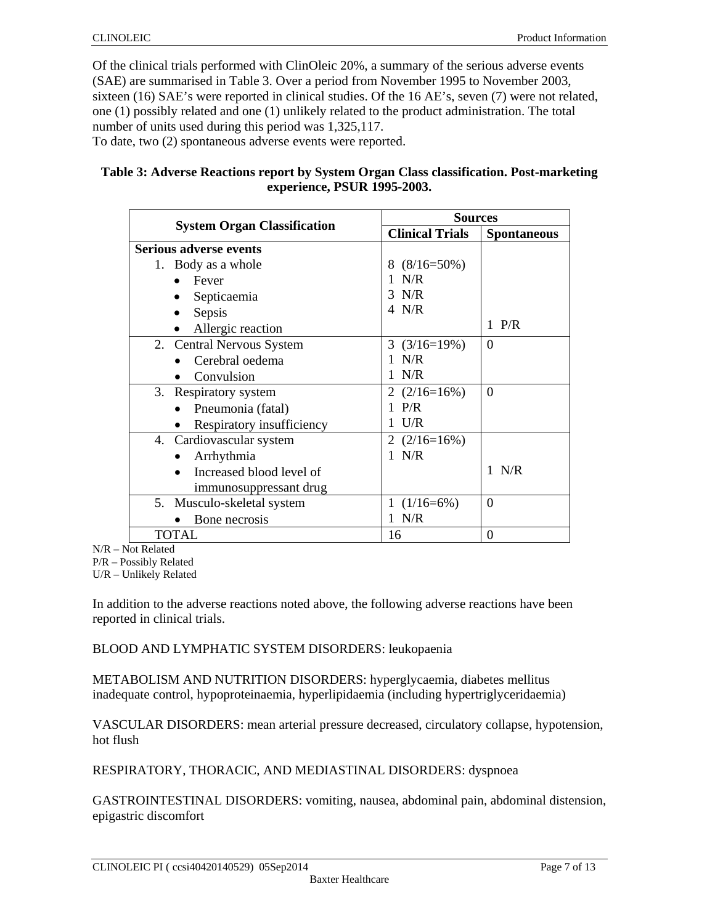Of the clinical trials performed with ClinOleic 20%, a summary of the serious adverse events (SAE) are summarised in Table 3. Over a period from November 1995 to November 2003, sixteen (16) SAE's were reported in clinical studies. Of the 16 AE's, seven (7) were not related, one (1) possibly related and one (1) unlikely related to the product administration. The total number of units used during this period was 1,325,117. To date, two (2) spontaneous adverse events were reported.

#### **Table 3: Adverse Reactions report by System Organ Class classification. Post-marketing experience, PSUR 1995-2003.**

|                                    | <b>Sources</b>         |                    |  |
|------------------------------------|------------------------|--------------------|--|
| <b>System Organ Classification</b> | <b>Clinical Trials</b> | <b>Spontaneous</b> |  |
| <b>Serious adverse events</b>      |                        |                    |  |
| 1. Body as a whole                 | $8(8/16=50\%)$         |                    |  |
| Fever                              | $1$ N/R                |                    |  |
| Septicaemia                        | 3 N/R                  |                    |  |
| Sepsis                             | 4 N/R                  |                    |  |
| Allergic reaction                  |                        | $1$ P/R            |  |
| 2. Central Nervous System          | $3(3/16=19%)$          | $\Omega$           |  |
| Cerebral oedema                    | 1 N/R                  |                    |  |
| Convulsion                         | N/R                    |                    |  |
| Respiratory system<br>3.           | 2 $(2/16=16%)$         | $\Omega$           |  |
| Pneumonia (fatal)                  | $1$ P/R                |                    |  |
| Respiratory insufficiency          | U/R                    |                    |  |
| 4. Cardiovascular system           | 2 $(2/16=16%)$         |                    |  |
| Arrhythmia                         | 1 N/R                  |                    |  |
| Increased blood level of           |                        | 1 N/R              |  |
| immunosuppressant drug             |                        |                    |  |
| 5. Musculo-skeletal system         | 1 $(1/16=6\%)$         | $\Omega$           |  |
| Bone necrosis                      | 1 N/R                  |                    |  |
| <b>TOTAL</b>                       | 16                     | $\theta$           |  |

N/R – Not Related

P/R – Possibly Related

U/R – Unlikely Related

In addition to the adverse reactions noted above, the following adverse reactions have been reported in clinical trials.

BLOOD AND LYMPHATIC SYSTEM DISORDERS: leukopaenia

METABOLISM AND NUTRITION DISORDERS: hyperglycaemia, diabetes mellitus inadequate control, hypoproteinaemia, hyperlipidaemia (including hypertriglyceridaemia)

VASCULAR DISORDERS: mean arterial pressure decreased, circulatory collapse, hypotension, hot flush

RESPIRATORY, THORACIC, AND MEDIASTINAL DISORDERS: dyspnoea

GASTROINTESTINAL DISORDERS: vomiting, nausea, abdominal pain, abdominal distension, epigastric discomfort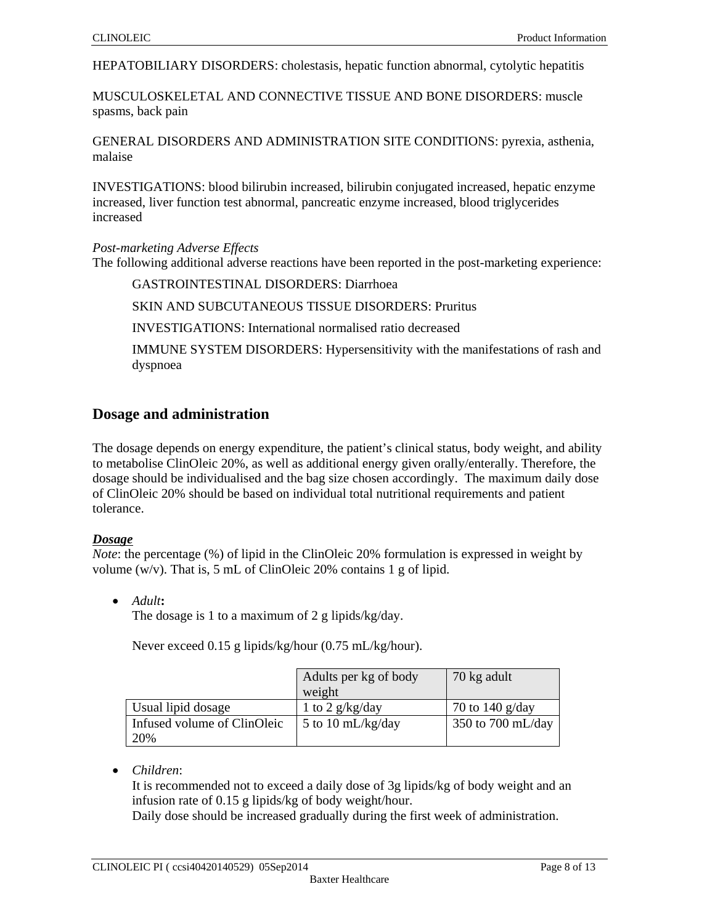HEPATOBILIARY DISORDERS: cholestasis, hepatic function abnormal, cytolytic hepatitis

MUSCULOSKELETAL AND CONNECTIVE TISSUE AND BONE DISORDERS: muscle spasms, back pain

GENERAL DISORDERS AND ADMINISTRATION SITE CONDITIONS: pyrexia, asthenia, malaise

INVESTIGATIONS: blood bilirubin increased, bilirubin conjugated increased, hepatic enzyme increased, liver function test abnormal, pancreatic enzyme increased, blood triglycerides increased

#### *Post-marketing Adverse Effects*

The following additional adverse reactions have been reported in the post-marketing experience:

GASTROINTESTINAL DISORDERS: Diarrhoea

SKIN AND SUBCUTANEOUS TISSUE DISORDERS: Pruritus

INVESTIGATIONS: International normalised ratio decreased

IMMUNE SYSTEM DISORDERS: Hypersensitivity with the manifestations of rash and dyspnoea

# **Dosage and administration**

The dosage depends on energy expenditure, the patient's clinical status, body weight, and ability to metabolise ClinOleic 20%, as well as additional energy given orally/enterally. Therefore, the dosage should be individualised and the bag size chosen accordingly. The maximum daily dose of ClinOleic 20% should be based on individual total nutritional requirements and patient tolerance.

#### *Dosage*

*Note*: the percentage (%) of lipid in the ClinOleic 20% formulation is expressed in weight by volume (w/v). That is, 5 mL of ClinOleic 20% contains 1 g of lipid.

*Adult***:** 

The dosage is 1 to a maximum of 2 g lipids/kg/day.

Never exceed 0.15 g lipids/kg/hour (0.75 mL/kg/hour).

|                             | Adults per kg of body | 70 kg adult       |
|-----------------------------|-----------------------|-------------------|
|                             | weight                |                   |
| Usual lipid dosage          | 1 to 2 $g/kg/day$     | 70 to 140 $g/day$ |
| Infused volume of ClinOleic | 5 to 10 $mL/kg/day$   | 350 to 700 mL/day |
| 20%                         |                       |                   |

*Children*:

It is recommended not to exceed a daily dose of 3g lipids/kg of body weight and an infusion rate of 0.15 g lipids/kg of body weight/hour.

Daily dose should be increased gradually during the first week of administration.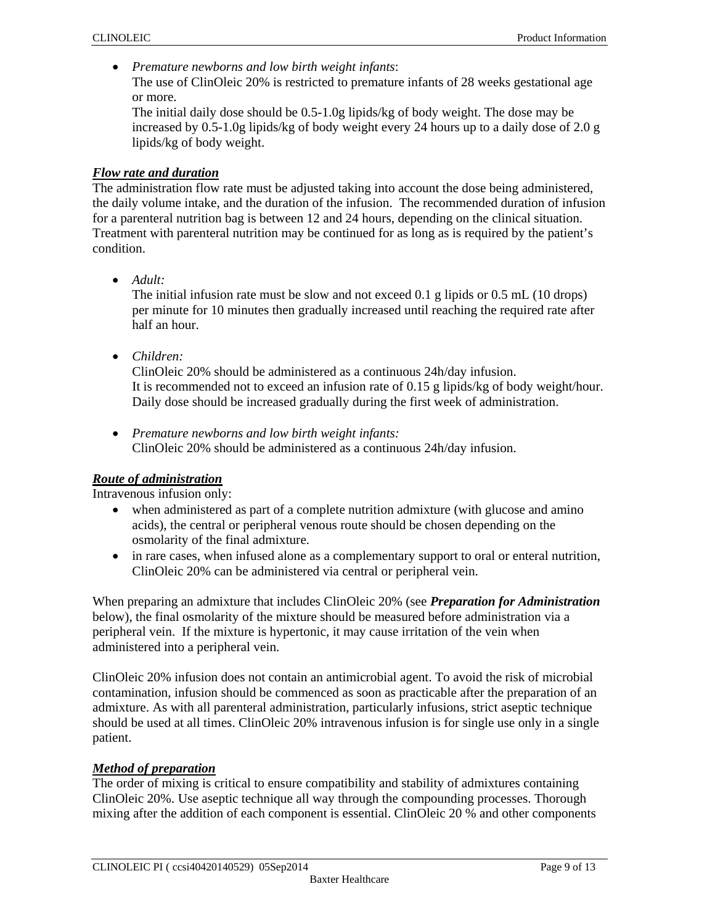*Premature newborns and low birth weight infants*:

The use of ClinOleic 20% is restricted to premature infants of 28 weeks gestational age or more.

The initial daily dose should be 0.5-1.0g lipids/kg of body weight. The dose may be increased by 0.5-1.0g lipids/kg of body weight every 24 hours up to a daily dose of 2.0 g lipids/kg of body weight.

### *Flow rate and duration*

The administration flow rate must be adjusted taking into account the dose being administered, the daily volume intake, and the duration of the infusion. The recommended duration of infusion for a parenteral nutrition bag is between 12 and 24 hours, depending on the clinical situation. Treatment with parenteral nutrition may be continued for as long as is required by the patient's condition.

*Adult:* 

The initial infusion rate must be slow and not exceed 0.1 g lipids or 0.5 mL (10 drops) per minute for 10 minutes then gradually increased until reaching the required rate after half an hour.

*Children:* 

ClinOleic 20% should be administered as a continuous 24h/day infusion. It is recommended not to exceed an infusion rate of 0.15 g lipids/kg of body weight/hour. Daily dose should be increased gradually during the first week of administration.

 *Premature newborns and low birth weight infants:*  ClinOleic 20% should be administered as a continuous 24h/day infusion.

### *Route of administration*

Intravenous infusion only:

- when administered as part of a complete nutrition admixture (with glucose and amino acids), the central or peripheral venous route should be chosen depending on the osmolarity of the final admixture.
- in rare cases, when infused alone as a complementary support to oral or enteral nutrition, ClinOleic 20% can be administered via central or peripheral vein.

When preparing an admixture that includes ClinOleic 20% (see *Preparation for Administration* below), the final osmolarity of the mixture should be measured before administration via a peripheral vein. If the mixture is hypertonic, it may cause irritation of the vein when administered into a peripheral vein.

ClinOleic 20% infusion does not contain an antimicrobial agent. To avoid the risk of microbial contamination, infusion should be commenced as soon as practicable after the preparation of an admixture. As with all parenteral administration, particularly infusions, strict aseptic technique should be used at all times. ClinOleic 20% intravenous infusion is for single use only in a single patient.

### *Method of preparation*

The order of mixing is critical to ensure compatibility and stability of admixtures containing ClinOleic 20%. Use aseptic technique all way through the compounding processes. Thorough mixing after the addition of each component is essential. ClinOleic 20 % and other components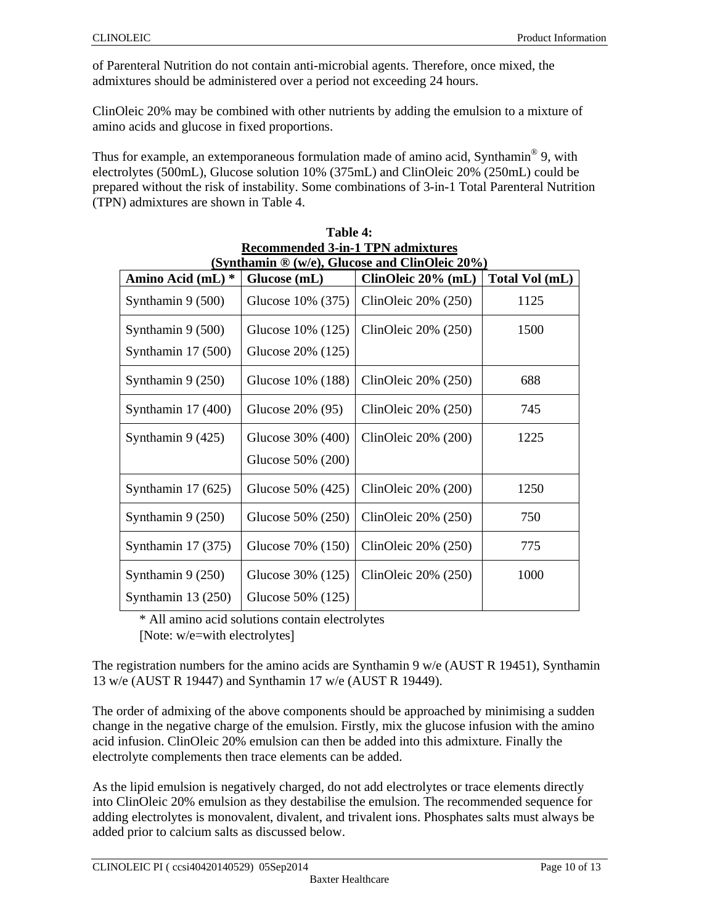of Parenteral Nutrition do not contain anti-microbial agents. Therefore, once mixed, the admixtures should be administered over a period not exceeding 24 hours.

ClinOleic 20% may be combined with other nutrients by adding the emulsion to a mixture of amino acids and glucose in fixed proportions.

Thus for example, an extemporaneous formulation made of amino acid, Synthamin<sup>®</sup> 9, with electrolytes (500mL), Glucose solution 10% (375mL) and ClinOleic 20% (250mL) could be prepared without the risk of instability. Some combinations of 3-in-1 Total Parenteral Nutrition (TPN) admixtures are shown in Table 4.

| $\alpha$ admitted $\alpha$ . $\alpha$ is a sequence of $\alpha$<br>(Synthamin $\mathcal{D}(w/e)$ , Glucose and ClinOleic 20%) |                   |                          |                |  |
|-------------------------------------------------------------------------------------------------------------------------------|-------------------|--------------------------|----------------|--|
| Amino Acid (mL) *                                                                                                             | Glucose (mL)      | ClinOleic 20% (mL)       | Total Vol (mL) |  |
| Synthamin 9 (500)                                                                                                             | Glucose 10% (375) | ClinOleic $20\%$ (250)   | 1125           |  |
| Synthamin 9 (500)                                                                                                             | Glucose 10% (125) | ClinOleic $20\%$ (250)   | 1500           |  |
| Synthamin 17 (500)                                                                                                            | Glucose 20% (125) |                          |                |  |
| Synthamin $9(250)$                                                                                                            | Glucose 10% (188) | ClinOleic $20\%$ (250)   | 688            |  |
| Synthamin $17(400)$                                                                                                           | Glucose 20% (95)  | ClinOleic $20\%$ (250)   | 745            |  |
| Synthamin $9(425)$                                                                                                            | Glucose 30% (400) | ClinOleic $20\%$ (200)   | 1225           |  |
|                                                                                                                               | Glucose 50% (200) |                          |                |  |
| Synthamin $17(625)$                                                                                                           | Glucose 50% (425) | ClinOleic 20% (200)      | 1250           |  |
| Synthamin $9(250)$                                                                                                            | Glucose 50% (250) | ClinOleic $20\%$ (250)   | 750            |  |
| Synthamin $17(375)$                                                                                                           | Glucose 70% (150) | ClinOleic $20\%$ $(250)$ | 775            |  |
| Synthamin $9(250)$                                                                                                            | Glucose 30% (125) | ClinOleic $20\%$ (250)   | 1000           |  |
| Synthamin $13(250)$                                                                                                           | Glucose 50% (125) |                          |                |  |

| Table 4:                                                |
|---------------------------------------------------------|
| <b>Recommended 3-in-1 TPN admixtures</b>                |
| $(Supthomin \mathbb{R} (w/a)$ Clucose and ClinOlaic 20% |

\* All amino acid solutions contain electrolytes

[Note: w/e=with electrolytes]

The registration numbers for the amino acids are Synthamin 9 w/e (AUST R 19451), Synthamin 13 w/e (AUST R 19447) and Synthamin 17 w/e (AUST R 19449).

The order of admixing of the above components should be approached by minimising a sudden change in the negative charge of the emulsion. Firstly, mix the glucose infusion with the amino acid infusion. ClinOleic 20% emulsion can then be added into this admixture. Finally the electrolyte complements then trace elements can be added.

As the lipid emulsion is negatively charged, do not add electrolytes or trace elements directly into ClinOleic 20% emulsion as they destabilise the emulsion. The recommended sequence for adding electrolytes is monovalent, divalent, and trivalent ions. Phosphates salts must always be added prior to calcium salts as discussed below.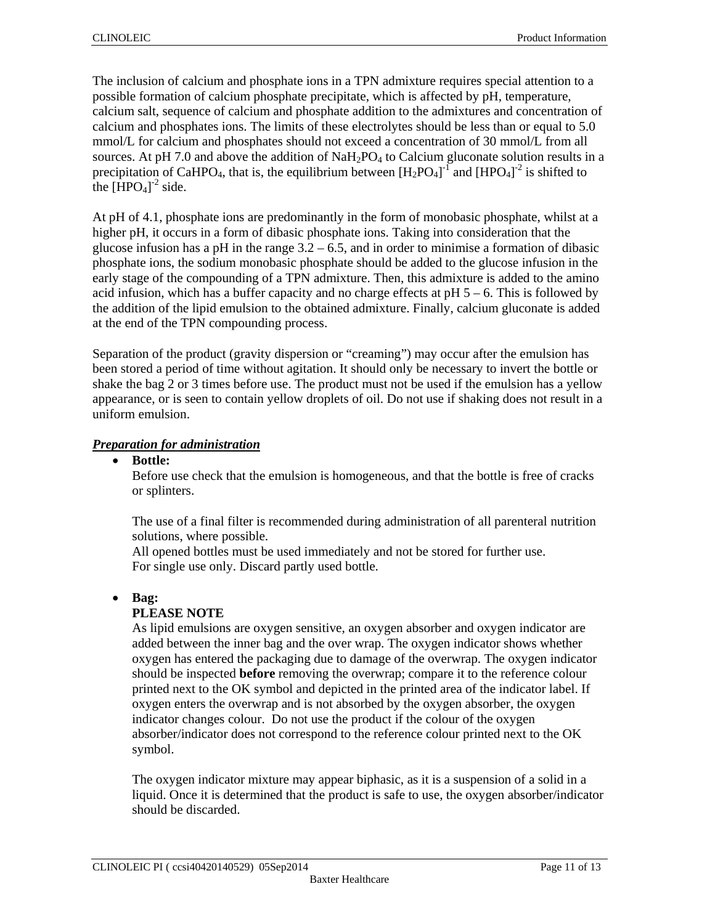The inclusion of calcium and phosphate ions in a TPN admixture requires special attention to a possible formation of calcium phosphate precipitate, which is affected by pH, temperature, calcium salt, sequence of calcium and phosphate addition to the admixtures and concentration of calcium and phosphates ions. The limits of these electrolytes should be less than or equal to 5.0 mmol/L for calcium and phosphates should not exceed a concentration of 30 mmol/L from all sources. At pH 7.0 and above the addition of  $NaH<sub>2</sub>PO<sub>4</sub>$  to Calcium gluconate solution results in a precipitation of CaHPO<sub>4</sub>, that is, the equilibrium between  $[H_2PO_4]^T$  and  $[HPO_4]^2$  is shifted to the  $[\text{HPO}_4]^2$  side.

At pH of 4.1, phosphate ions are predominantly in the form of monobasic phosphate, whilst at a higher pH, it occurs in a form of dibasic phosphate ions. Taking into consideration that the glucose infusion has a pH in the range  $3.2 - 6.5$ , and in order to minimise a formation of dibasic phosphate ions, the sodium monobasic phosphate should be added to the glucose infusion in the early stage of the compounding of a TPN admixture. Then, this admixture is added to the amino acid infusion, which has a buffer capacity and no charge effects at  $pH 5 - 6$ . This is followed by the addition of the lipid emulsion to the obtained admixture. Finally, calcium gluconate is added at the end of the TPN compounding process.

Separation of the product (gravity dispersion or "creaming") may occur after the emulsion has been stored a period of time without agitation. It should only be necessary to invert the bottle or shake the bag 2 or 3 times before use. The product must not be used if the emulsion has a yellow appearance, or is seen to contain yellow droplets of oil. Do not use if shaking does not result in a uniform emulsion.

### *Preparation for administration*

**Bottle:** 

Before use check that the emulsion is homogeneous, and that the bottle is free of cracks or splinters.

The use of a final filter is recommended during administration of all parenteral nutrition solutions, where possible.

All opened bottles must be used immediately and not be stored for further use. For single use only. Discard partly used bottle.

### **Bag:**

### **PLEASE NOTE**

As lipid emulsions are oxygen sensitive, an oxygen absorber and oxygen indicator are added between the inner bag and the over wrap. The oxygen indicator shows whether oxygen has entered the packaging due to damage of the overwrap. The oxygen indicator should be inspected **before** removing the overwrap; compare it to the reference colour printed next to the OK symbol and depicted in the printed area of the indicator label. If oxygen enters the overwrap and is not absorbed by the oxygen absorber, the oxygen indicator changes colour. Do not use the product if the colour of the oxygen absorber/indicator does not correspond to the reference colour printed next to the OK symbol.

The oxygen indicator mixture may appear biphasic, as it is a suspension of a solid in a liquid. Once it is determined that the product is safe to use, the oxygen absorber/indicator should be discarded.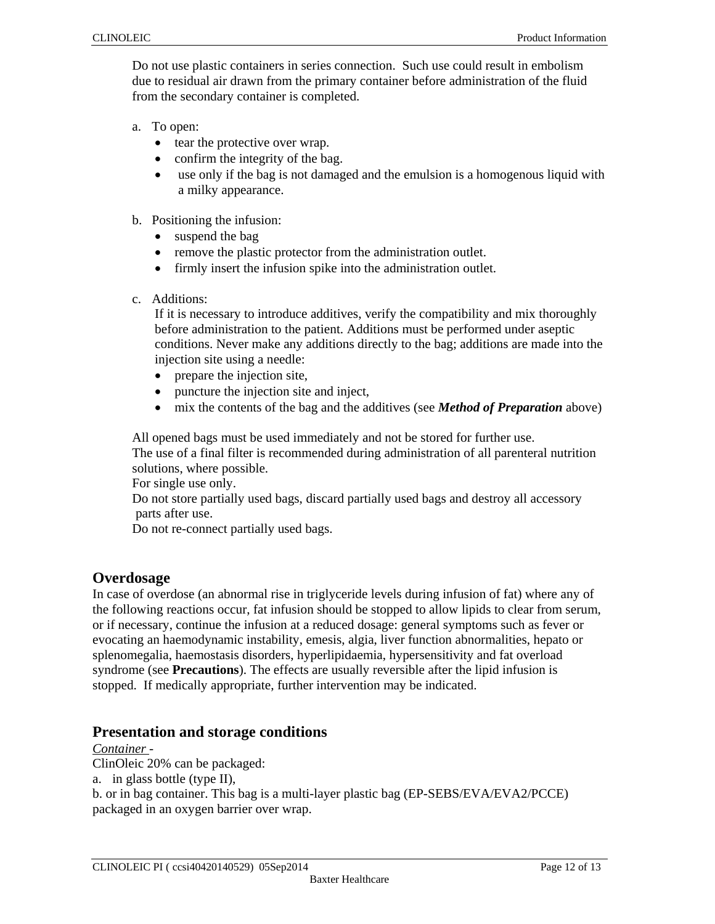Do not use plastic containers in series connection. Such use could result in embolism due to residual air drawn from the primary container before administration of the fluid from the secondary container is completed.

- a. To open:
	- tear the protective over wrap.
	- confirm the integrity of the bag.
	- use only if the bag is not damaged and the emulsion is a homogenous liquid with a milky appearance.
- b. Positioning the infusion:
	- suspend the bag
	- remove the plastic protector from the administration outlet.
	- firmly insert the infusion spike into the administration outlet.
- c. Additions:

If it is necessary to introduce additives, verify the compatibility and mix thoroughly before administration to the patient. Additions must be performed under aseptic conditions. Never make any additions directly to the bag; additions are made into the injection site using a needle:

- prepare the injection site,
- puncture the injection site and inject,
- mix the contents of the bag and the additives (see *Method of Preparation* above)

All opened bags must be used immediately and not be stored for further use.

The use of a final filter is recommended during administration of all parenteral nutrition solutions, where possible.

For single use only.

Do not store partially used bags, discard partially used bags and destroy all accessory parts after use.

Do not re-connect partially used bags.

# **Overdosage**

In case of overdose (an abnormal rise in triglyceride levels during infusion of fat) where any of the following reactions occur, fat infusion should be stopped to allow lipids to clear from serum, or if necessary, continue the infusion at a reduced dosage: general symptoms such as fever or evocating an haemodynamic instability, emesis, algia, liver function abnormalities, hepato or splenomegalia, haemostasis disorders, hyperlipidaemia, hypersensitivity and fat overload syndrome (see **Precautions**). The effects are usually reversible after the lipid infusion is stopped. If medically appropriate, further intervention may be indicated.

# **Presentation and storage conditions**

### *Container -*

ClinOleic 20% can be packaged:

a. in glass bottle (type II),

b. or in bag container. This bag is a multi-layer plastic bag (EP-SEBS/EVA/EVA2/PCCE) packaged in an oxygen barrier over wrap.